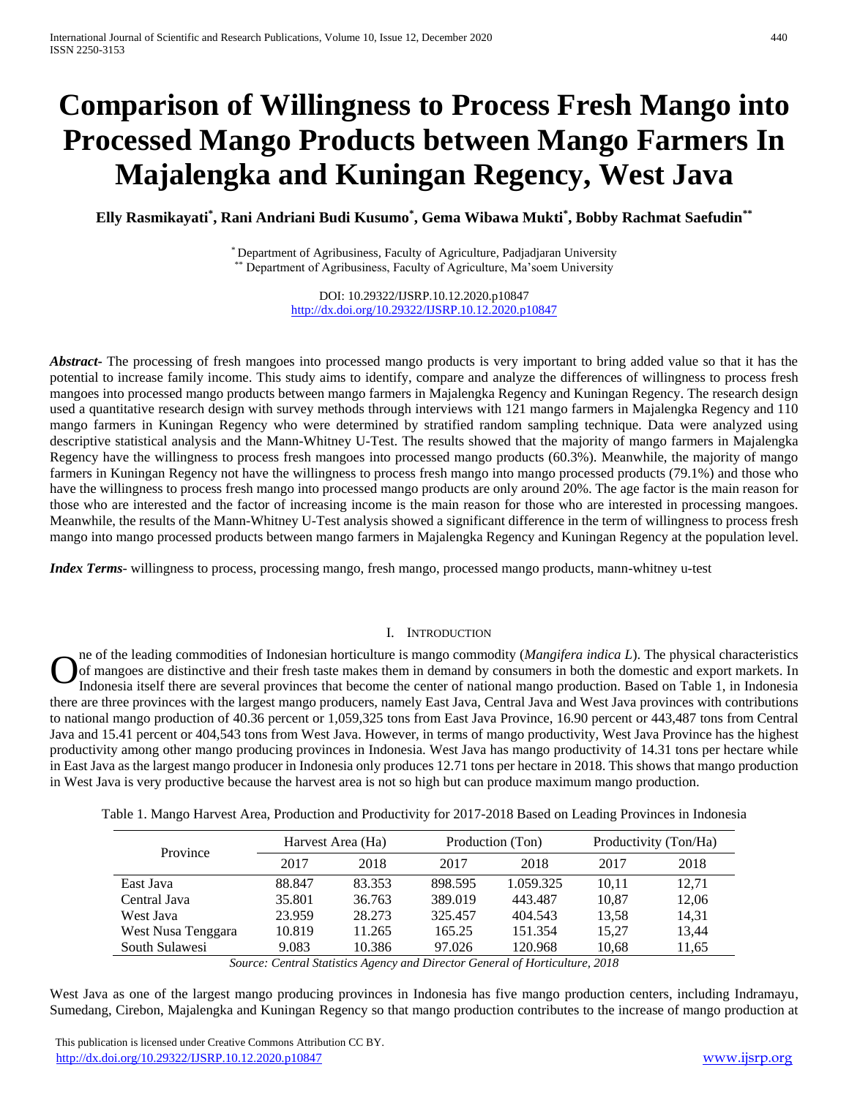# **Comparison of Willingness to Process Fresh Mango into Processed Mango Products between Mango Farmers In Majalengka and Kuningan Regency, West Java**

**Elly Rasmikayati\* , Rani Andriani Budi Kusumo\* , Gema Wibawa Mukti\* , Bobby Rachmat Saefudin\*\***

\* Department of Agribusiness, Faculty of Agriculture, Padjadjaran University \*\* Department of Agribusiness, Faculty of Agriculture, Ma'soem University

> DOI: 10.29322/IJSRP.10.12.2020.p10847 <http://dx.doi.org/10.29322/IJSRP.10.12.2020.p10847>

*Abstract* The processing of fresh mangoes into processed mango products is very important to bring added value so that it has the potential to increase family income. This study aims to identify, compare and analyze the differences of willingness to process fresh mangoes into processed mango products between mango farmers in Majalengka Regency and Kuningan Regency. The research design used a quantitative research design with survey methods through interviews with 121 mango farmers in Majalengka Regency and 110 mango farmers in Kuningan Regency who were determined by stratified random sampling technique. Data were analyzed using descriptive statistical analysis and the Mann-Whitney U-Test. The results showed that the majority of mango farmers in Majalengka Regency have the willingness to process fresh mangoes into processed mango products (60.3%). Meanwhile, the majority of mango farmers in Kuningan Regency not have the willingness to process fresh mango into mango processed products (79.1%) and those who have the willingness to process fresh mango into processed mango products are only around 20%. The age factor is the main reason for those who are interested and the factor of increasing income is the main reason for those who are interested in processing mangoes. Meanwhile, the results of the Mann-Whitney U-Test analysis showed a significant difference in the term of willingness to process fresh mango into mango processed products between mango farmers in Majalengka Regency and Kuningan Regency at the population level.

*Index Terms*- willingness to process, processing mango, fresh mango, processed mango products, mann-whitney u-test

## I. INTRODUCTION

ne of the leading commodities of Indonesian horticulture is mango commodity (*Mangifera indica L*). The physical characteristics of mangoes are distinctive and their fresh taste makes them in demand by consumers in both the domestic and export markets. In Indonesia itself there are several provinces that become the center of national mango production. Based on Table 1, in Indonesia there are three provinces with the largest mango producers, namely East Java, Central Java and West Java provinces with contributions to national mango production of 40.36 percent or 1,059,325 tons from East Java Province, 16.90 percent or 443,487 tons from Central Java and 15.41 percent or 404,543 tons from West Java. However, in terms of mango productivity, West Java Province has the highest productivity among other mango producing provinces in Indonesia. West Java has mango productivity of 14.31 tons per hectare while in East Java as the largest mango producer in Indonesia only produces 12.71 tons per hectare in 2018. This shows that mango production in West Java is very productive because the harvest area is not so high but can produce maximum mango production. O

Table 1. Mango Harvest Area, Production and Productivity for 2017-2018 Based on Leading Provinces in Indonesia

|                    | Harvest Area (Ha) |        | Production (Ton) |           | Productivity (Ton/Ha) |       |
|--------------------|-------------------|--------|------------------|-----------|-----------------------|-------|
| Province           | 2017              | 2018   | 2017             | 2018      | 2017                  | 2018  |
| East Java          | 88.847            | 83.353 | 898.595          | 1.059.325 | 10,11                 | 12,71 |
| Central Java       | 35.801            | 36.763 | 389.019          | 443.487   | 10.87                 | 12,06 |
| West Java          | 23.959            | 28.273 | 325.457          | 404.543   | 13,58                 | 14,31 |
| West Nusa Tenggara | 10.819            | 11.265 | 165.25           | 151.354   | 15,27                 | 13,44 |
| South Sulawesi     | 9.083             | 10.386 | 97.026           | 120.968   | 10,68                 | 11,65 |

*Source: Central Statistics Agency and Director General of Horticulture, 2018*

West Java as one of the largest mango producing provinces in Indonesia has five mango production centers, including Indramayu, Sumedang, Cirebon, Majalengka and Kuningan Regency so that mango production contributes to the increase of mango production at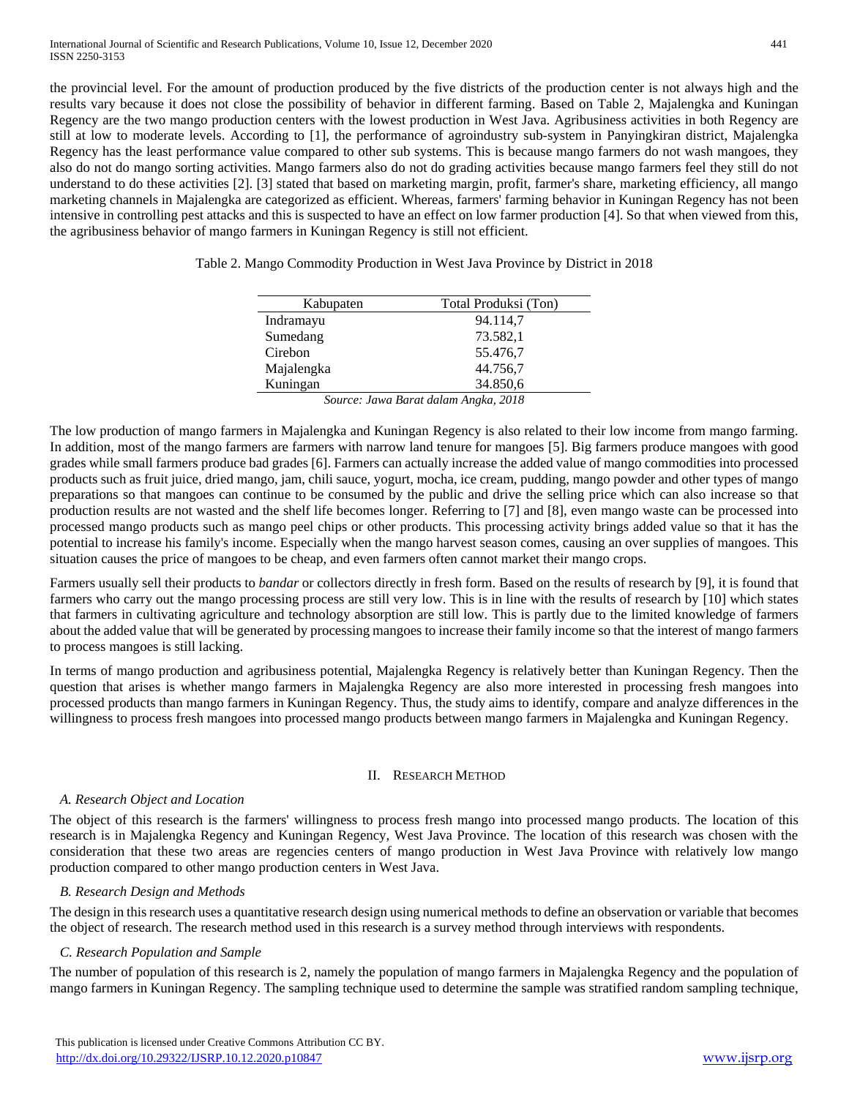the provincial level. For the amount of production produced by the five districts of the production center is not always high and the results vary because it does not close the possibility of behavior in different farming. Based on Table 2, Majalengka and Kuningan Regency are the two mango production centers with the lowest production in West Java. Agribusiness activities in both Regency are still at low to moderate levels. According to [1], the performance of agroindustry sub-system in Panyingkiran district, Majalengka Regency has the least performance value compared to other sub systems. This is because mango farmers do not wash mangoes, they also do not do mango sorting activities. Mango farmers also do not do grading activities because mango farmers feel they still do not understand to do these activities [2]. [3] stated that based on marketing margin, profit, farmer's share, marketing efficiency, all mango marketing channels in Majalengka are categorized as efficient. Whereas, farmers' farming behavior in Kuningan Regency has not been intensive in controlling pest attacks and this is suspected to have an effect on low farmer production [4]. So that when viewed from this, the agribusiness behavior of mango farmers in Kuningan Regency is still not efficient.

| Kabupaten  | Total Produksi (Ton) |
|------------|----------------------|
| Indramayu  | 94.114,7             |
| Sumedang   | 73.582.1             |
| Cirebon    | 55.476,7             |
| Majalengka | 44.756,7             |
| Kuningan   | 34.850,6             |

*Source: Jawa Barat dalam Angka, 2018*

The low production of mango farmers in Majalengka and Kuningan Regency is also related to their low income from mango farming. In addition, most of the mango farmers are farmers with narrow land tenure for mangoes [5]. Big farmers produce mangoes with good grades while small farmers produce bad grades [6]. Farmers can actually increase the added value of mango commodities into processed products such as fruit juice, dried mango, jam, chili sauce, yogurt, mocha, ice cream, pudding, mango powder and other types of mango preparations so that mangoes can continue to be consumed by the public and drive the selling price which can also increase so that production results are not wasted and the shelf life becomes longer. Referring to [7] and [8], even mango waste can be processed into processed mango products such as mango peel chips or other products. This processing activity brings added value so that it has the potential to increase his family's income. Especially when the mango harvest season comes, causing an over supplies of mangoes. This situation causes the price of mangoes to be cheap, and even farmers often cannot market their mango crops.

Farmers usually sell their products to *bandar* or collectors directly in fresh form. Based on the results of research by [9], it is found that farmers who carry out the mango processing process are still very low. This is in line with the results of research by [10] which states that farmers in cultivating agriculture and technology absorption are still low. This is partly due to the limited knowledge of farmers about the added value that will be generated by processing mangoes to increase their family income so that the interest of mango farmers to process mangoes is still lacking.

In terms of mango production and agribusiness potential, Majalengka Regency is relatively better than Kuningan Regency. Then the question that arises is whether mango farmers in Majalengka Regency are also more interested in processing fresh mangoes into processed products than mango farmers in Kuningan Regency. Thus, the study aims to identify, compare and analyze differences in the willingness to process fresh mangoes into processed mango products between mango farmers in Majalengka and Kuningan Regency.

# II. RESEARCH METHOD

# *A. Research Object and Location*

The object of this research is the farmers' willingness to process fresh mango into processed mango products. The location of this research is in Majalengka Regency and Kuningan Regency, West Java Province. The location of this research was chosen with the consideration that these two areas are regencies centers of mango production in West Java Province with relatively low mango production compared to other mango production centers in West Java.

# *B. Research Design and Methods*

The design in this research uses a quantitative research design using numerical methods to define an observation or variable that becomes the object of research. The research method used in this research is a survey method through interviews with respondents.

# *C. Research Population and Sample*

The number of population of this research is 2, namely the population of mango farmers in Majalengka Regency and the population of mango farmers in Kuningan Regency. The sampling technique used to determine the sample was stratified random sampling technique,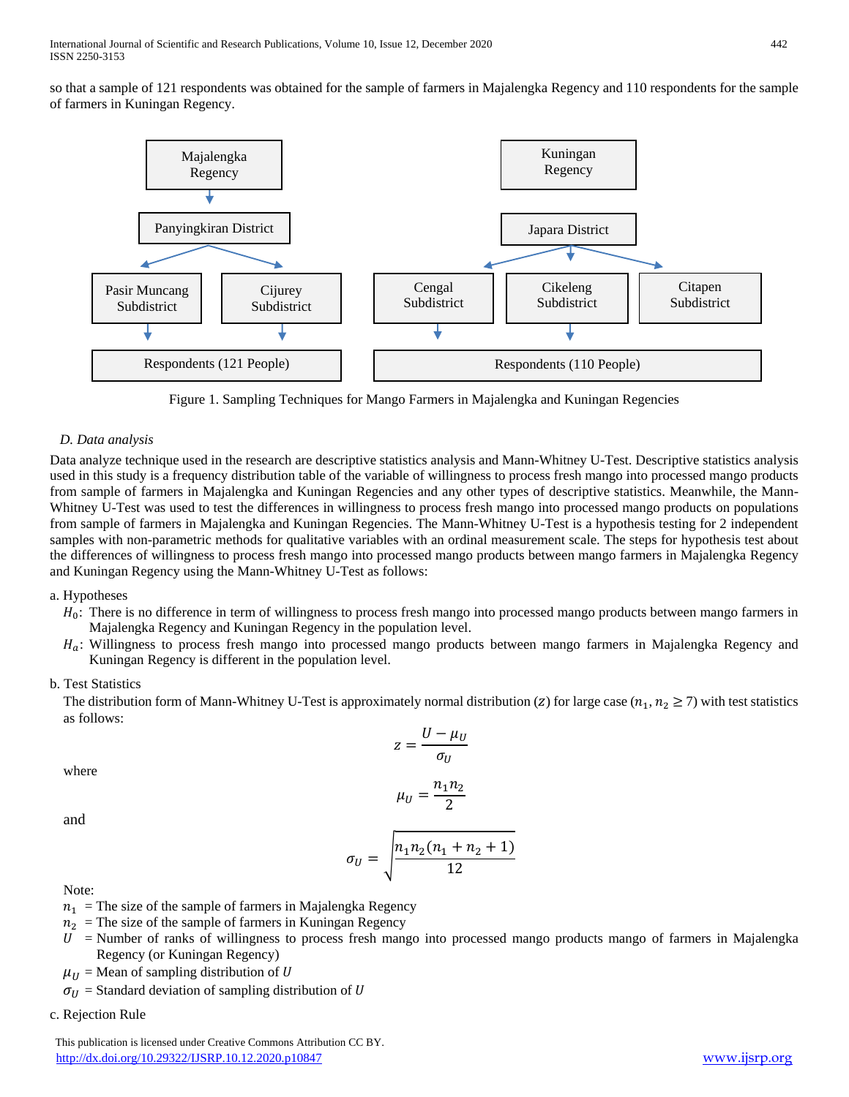so that a sample of 121 respondents was obtained for the sample of farmers in Majalengka Regency and 110 respondents for the sample of farmers in Kuningan Regency.



Figure 1. Sampling Techniques for Mango Farmers in Majalengka and Kuningan Regencies

# *D. Data analysis*

Data analyze technique used in the research are descriptive statistics analysis and Mann-Whitney U-Test. Descriptive statistics analysis used in this study is a frequency distribution table of the variable of willingness to process fresh mango into processed mango products from sample of farmers in Majalengka and Kuningan Regencies and any other types of descriptive statistics. Meanwhile, the Mann-Whitney U-Test was used to test the differences in willingness to process fresh mango into processed mango products on populations from sample of farmers in Majalengka and Kuningan Regencies. The Mann-Whitney U-Test is a hypothesis testing for 2 independent samples with non-parametric methods for qualitative variables with an ordinal measurement scale. The steps for hypothesis test about the differences of willingness to process fresh mango into processed mango products between mango farmers in Majalengka Regency and Kuningan Regency using the Mann-Whitney U-Test as follows:

# a. Hypotheses

- $H_0$ : There is no difference in term of willingness to process fresh mango into processed mango products between mango farmers in Majalengka Regency and Kuningan Regency in the population level.
- $H_a$ : Willingness to process fresh mango into processed mango products between mango farmers in Majalengka Regency and Kuningan Regency is different in the population level.

## b. Test Statistics

The distribution form of Mann-Whitney U-Test is approximately normal distribution (*z*) for large case ( $n_1, n_2 \ge 7$ ) with test statistics as follows:

$$
z = \frac{U - \mu_U}{\sigma_U}
$$

where

$$
\mu_U=\frac{n_1n_2}{2}
$$

and

$$
\sigma_U = \sqrt{\frac{n_1 n_2 (n_1 + n_2 + 1)}{12}}
$$

Note:

- $n_1$  = The size of the sample of farmers in Majalengka Regency
- $n_2$  = The size of the sample of farmers in Kuningan Regency
- $U =$  Number of ranks of willingness to process fresh mango into processed mango products mango of farmers in Majalengka Regency (or Kuningan Regency)

 $\mu_{II}$  = Mean of sampling distribution of U

 $\sigma_{IJ}$  = Standard deviation of sampling distribution of U

c. Rejection Rule

 This publication is licensed under Creative Commons Attribution CC BY. <http://dx.doi.org/10.29322/IJSRP.10.12.2020.p10847> [www.ijsrp.org](http://ijsrp.org/)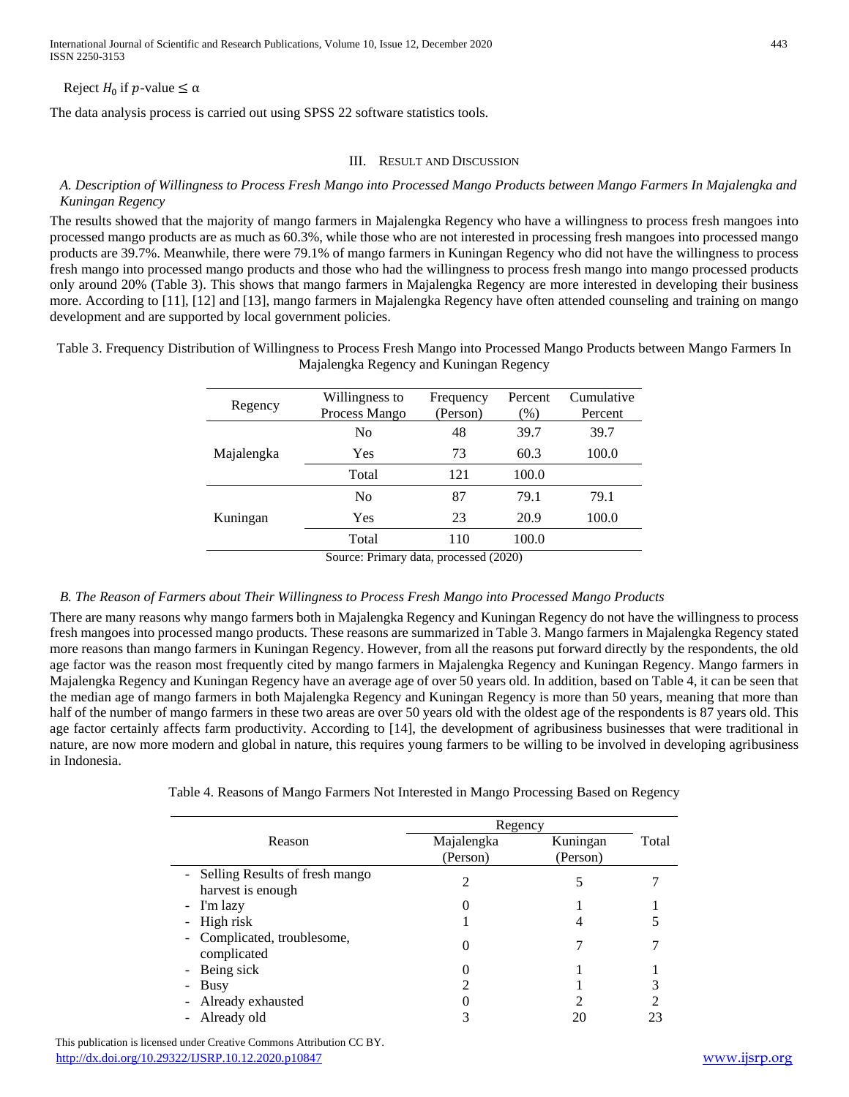# Reject  $H_0$  if p-value  $\leq \alpha$

The data analysis process is carried out using SPSS 22 software statistics tools.

## III. RESULT AND DISCUSSION

## *A. Description of Willingness to Process Fresh Mango into Processed Mango Products between Mango Farmers In Majalengka and Kuningan Regency*

The results showed that the majority of mango farmers in Majalengka Regency who have a willingness to process fresh mangoes into processed mango products are as much as 60.3%, while those who are not interested in processing fresh mangoes into processed mango products are 39.7%. Meanwhile, there were 79.1% of mango farmers in Kuningan Regency who did not have the willingness to process fresh mango into processed mango products and those who had the willingness to process fresh mango into mango processed products only around 20% (Table 3). This shows that mango farmers in Majalengka Regency are more interested in developing their business more. According to [11], [12] and [13], mango farmers in Majalengka Regency have often attended counseling and training on mango development and are supported by local government policies.

Table 3. Frequency Distribution of Willingness to Process Fresh Mango into Processed Mango Products between Mango Farmers In Majalengka Regency and Kuningan Regency

| Regency    | Willingness to<br>Process Mango | Frequency<br>(Person) | Percent<br>$(\%)$ | Cumulative<br>Percent |
|------------|---------------------------------|-----------------------|-------------------|-----------------------|
|            | No                              | 48                    | 39.7              | 39.7                  |
| Majalengka | Yes                             | 73                    | 60.3              | 100.0                 |
|            | Total                           | 121                   | 100.0             |                       |
|            | N <sub>0</sub>                  | 87                    | 79.1              | 79.1                  |
| Kuningan   | Yes                             | 23                    | 20.9              | 100.0                 |
|            | Total                           | 110                   | 100.0             |                       |

Source: Primary data, processed (2020)

## *B. The Reason of Farmers about Their Willingness to Process Fresh Mango into Processed Mango Products*

There are many reasons why mango farmers both in Majalengka Regency and Kuningan Regency do not have the willingness to process fresh mangoes into processed mango products. These reasons are summarized in Table 3. Mango farmers in Majalengka Regency stated more reasons than mango farmers in Kuningan Regency. However, from all the reasons put forward directly by the respondents, the old age factor was the reason most frequently cited by mango farmers in Majalengka Regency and Kuningan Regency. Mango farmers in Majalengka Regency and Kuningan Regency have an average age of over 50 years old. In addition, based on Table 4, it can be seen that the median age of mango farmers in both Majalengka Regency and Kuningan Regency is more than 50 years, meaning that more than half of the number of mango farmers in these two areas are over 50 years old with the oldest age of the respondents is 87 years old. This age factor certainly affects farm productivity. According to [14], the development of agribusiness businesses that were traditional in nature, are now more modern and global in nature, this requires young farmers to be willing to be involved in developing agribusiness in Indonesia.

|                                                       | Regency                |                      |       |
|-------------------------------------------------------|------------------------|----------------------|-------|
| Reason                                                | Majalengka<br>(Person) | Kuningan<br>(Person) | Total |
| - Selling Results of fresh mango<br>harvest is enough | 2                      |                      |       |
| - I'm lazy                                            |                        |                      |       |
| - High risk                                           |                        |                      |       |
| - Complicated, troublesome,<br>complicated            |                        |                      |       |
| - Being sick                                          |                        |                      |       |
| - Busy                                                |                        |                      |       |
| Already exhausted<br>$\blacksquare$                   |                        |                      |       |
| - Already old                                         |                        | 20                   |       |

 This publication is licensed under Creative Commons Attribution CC BY. <http://dx.doi.org/10.29322/IJSRP.10.12.2020.p10847> [www.ijsrp.org](http://ijsrp.org/)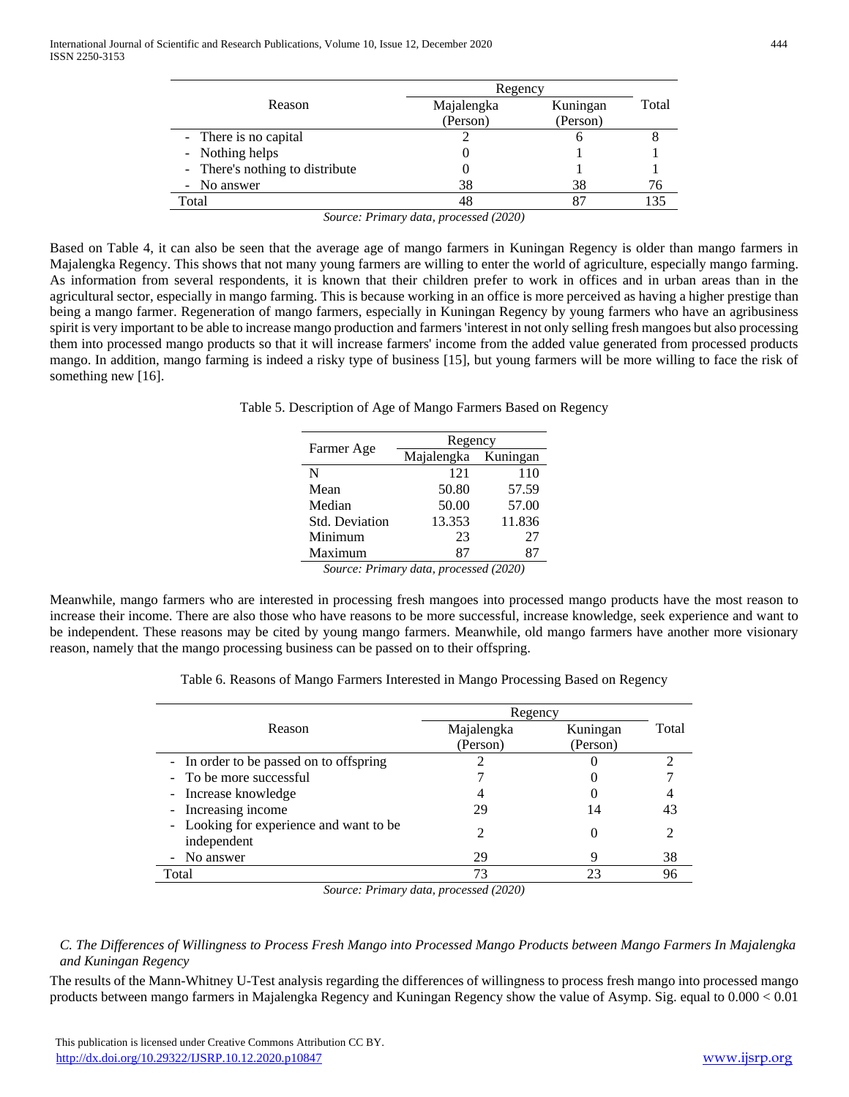|                                 | Regency    |          |       |
|---------------------------------|------------|----------|-------|
| Reason                          | Majalengka | Kuningan | Total |
|                                 | (Person)   | (Person) |       |
| - There is no capital           |            |          |       |
| - Nothing helps                 |            |          |       |
| - There's nothing to distribute |            |          |       |
| - No answer                     | 38         | 38       | 76    |
| Total                           |            | 87       |       |

*Source: Primary data, processed (2020)*

Based on Table 4, it can also be seen that the average age of mango farmers in Kuningan Regency is older than mango farmers in Majalengka Regency. This shows that not many young farmers are willing to enter the world of agriculture, especially mango farming. As information from several respondents, it is known that their children prefer to work in offices and in urban areas than in the agricultural sector, especially in mango farming. This is because working in an office is more perceived as having a higher prestige than being a mango farmer. Regeneration of mango farmers, especially in Kuningan Regency by young farmers who have an agribusiness spirit is very important to be able to increase mango production and farmers 'interest in not only selling fresh mangoes but also processing them into processed mango products so that it will increase farmers' income from the added value generated from processed products mango. In addition, mango farming is indeed a risky type of business [15], but young farmers will be more willing to face the risk of something new [16].

Table 5. Description of Age of Mango Farmers Based on Regency

|                                                                                                                                                                                                                                                                                                                                    | Regency             |        |  |  |
|------------------------------------------------------------------------------------------------------------------------------------------------------------------------------------------------------------------------------------------------------------------------------------------------------------------------------------|---------------------|--------|--|--|
| Farmer Age                                                                                                                                                                                                                                                                                                                         | Majalengka Kuningan |        |  |  |
| N                                                                                                                                                                                                                                                                                                                                  | 121                 | 110    |  |  |
| Mean                                                                                                                                                                                                                                                                                                                               | 50.80               | 57.59  |  |  |
| Median                                                                                                                                                                                                                                                                                                                             | 50.00               | 57.00  |  |  |
| <b>Std. Deviation</b>                                                                                                                                                                                                                                                                                                              | 13.353              | 11.836 |  |  |
| Minimum                                                                                                                                                                                                                                                                                                                            | 23                  | 27     |  |  |
| Maximum                                                                                                                                                                                                                                                                                                                            | 87                  | 87     |  |  |
| $\mathbf{a}$ $\mathbf{b}$ $\mathbf{c}$ $\mathbf{d}$ $\mathbf{d}$ $\mathbf{d}$ $\mathbf{d}$ $\mathbf{d}$ $\mathbf{d}$ $\mathbf{d}$ $\mathbf{d}$ $\mathbf{d}$ $\mathbf{d}$ $\mathbf{d}$ $\mathbf{d}$ $\mathbf{d}$ $\mathbf{d}$ $\mathbf{d}$ $\mathbf{d}$ $\mathbf{d}$ $\mathbf{d}$ $\mathbf{d}$ $\mathbf{d}$ $\mathbf{d}$ $\mathbf{$ |                     |        |  |  |

*Source: Primary data, processed (2020)*

Meanwhile, mango farmers who are interested in processing fresh mangoes into processed mango products have the most reason to increase their income. There are also those who have reasons to be more successful, increase knowledge, seek experience and want to be independent. These reasons may be cited by young mango farmers. Meanwhile, old mango farmers have another more visionary reason, namely that the mango processing business can be passed on to their offspring.

Table 6. Reasons of Mango Farmers Interested in Mango Processing Based on Regency

|                                                        | Regency    |          |       |
|--------------------------------------------------------|------------|----------|-------|
| Reason                                                 | Majalengka | Kuningan | Total |
|                                                        | (Person)   | (Person) |       |
| - In order to be passed on to offspring                |            |          |       |
| - To be more successful                                |            |          |       |
| - Increase knowledge                                   |            |          |       |
| - Increasing income                                    | 29         | 14       | 43    |
| - Looking for experience and want to be<br>independent |            |          |       |
| - No answer                                            | 29         |          | 38    |
| Total                                                  | 73         | 23       | 96    |
|                                                        |            |          |       |

*Source: Primary data, processed (2020)*

# *C. The Differences of Willingness to Process Fresh Mango into Processed Mango Products between Mango Farmers In Majalengka and Kuningan Regency*

The results of the Mann-Whitney U-Test analysis regarding the differences of willingness to process fresh mango into processed mango products between mango farmers in Majalengka Regency and Kuningan Regency show the value of Asymp. Sig. equal to 0.000 < 0.01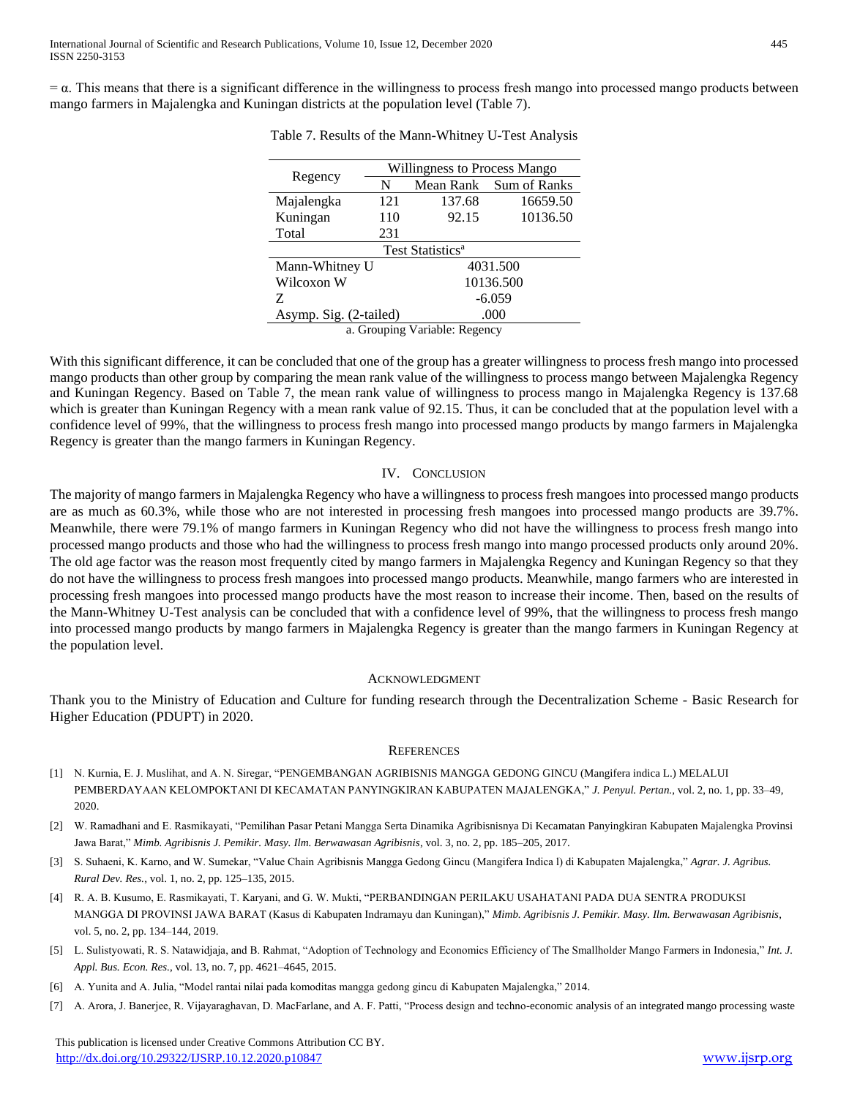$= \alpha$ . This means that there is a significant difference in the willingness to process fresh mango into processed mango products between mango farmers in Majalengka and Kuningan districts at the population level (Table 7).

|                               | Willingness to Process Mango |           |              |  |
|-------------------------------|------------------------------|-----------|--------------|--|
| Regency                       | N                            | Mean Rank | Sum of Ranks |  |
| Majalengka                    | 121                          | 137.68    | 16659.50     |  |
| Kuningan                      | 110                          | 92.15     | 10136.50     |  |
| Total                         | 231                          |           |              |  |
| Test Statistics <sup>a</sup>  |                              |           |              |  |
| Mann-Whitney U                |                              | 4031.500  |              |  |
| Wilcoxon W                    |                              | 10136.500 |              |  |
| Z                             |                              | $-6.059$  |              |  |
| Asymp. Sig. (2-tailed)        |                              | .000      |              |  |
| a. Grouping Variable: Regency |                              |           |              |  |

Table 7. Results of the Mann-Whitney U-Test Analysis

With this significant difference, it can be concluded that one of the group has a greater willingness to process fresh mango into processed mango products than other group by comparing the mean rank value of the willingness to process mango between Majalengka Regency and Kuningan Regency. Based on Table 7, the mean rank value of willingness to process mango in Majalengka Regency is 137.68 which is greater than Kuningan Regency with a mean rank value of 92.15. Thus, it can be concluded that at the population level with a confidence level of 99%, that the willingness to process fresh mango into processed mango products by mango farmers in Majalengka Regency is greater than the mango farmers in Kuningan Regency.

## IV. CONCLUSION

The majority of mango farmers in Majalengka Regency who have a willingness to process fresh mangoes into processed mango products are as much as 60.3%, while those who are not interested in processing fresh mangoes into processed mango products are 39.7%. Meanwhile, there were 79.1% of mango farmers in Kuningan Regency who did not have the willingness to process fresh mango into processed mango products and those who had the willingness to process fresh mango into mango processed products only around 20%. The old age factor was the reason most frequently cited by mango farmers in Majalengka Regency and Kuningan Regency so that they do not have the willingness to process fresh mangoes into processed mango products. Meanwhile, mango farmers who are interested in processing fresh mangoes into processed mango products have the most reason to increase their income. Then, based on the results of the Mann-Whitney U-Test analysis can be concluded that with a confidence level of 99%, that the willingness to process fresh mango into processed mango products by mango farmers in Majalengka Regency is greater than the mango farmers in Kuningan Regency at the population level.

#### ACKNOWLEDGMENT

Thank you to the Ministry of Education and Culture for funding research through the Decentralization Scheme - Basic Research for Higher Education (PDUPT) in 2020.

#### **REFERENCES**

- [1] N. Kurnia, E. J. Muslihat, and A. N. Siregar, "PENGEMBANGAN AGRIBISNIS MANGGA GEDONG GINCU (Mangifera indica L.) MELALUI PEMBERDAYAAN KELOMPOKTANI DI KECAMATAN PANYINGKIRAN KABUPATEN MAJALENGKA," *J. Penyul. Pertan.*, vol. 2, no. 1, pp. 33–49, 2020.
- [2] W. Ramadhani and E. Rasmikayati, "Pemilihan Pasar Petani Mangga Serta Dinamika Agribisnisnya Di Kecamatan Panyingkiran Kabupaten Majalengka Provinsi Jawa Barat," *Mimb. Agribisnis J. Pemikir. Masy. Ilm. Berwawasan Agribisnis*, vol. 3, no. 2, pp. 185–205, 2017.
- [3] S. Suhaeni, K. Karno, and W. Sumekar, "Value Chain Agribisnis Mangga Gedong Gincu (Mangifera Indica l) di Kabupaten Majalengka," *Agrar. J. Agribus. Rural Dev. Res.*, vol. 1, no. 2, pp. 125–135, 2015.
- [4] R. A. B. Kusumo, E. Rasmikayati, T. Karyani, and G. W. Mukti, "PERBANDINGAN PERILAKU USAHATANI PADA DUA SENTRA PRODUKSI MANGGA DI PROVINSI JAWA BARAT (Kasus di Kabupaten Indramayu dan Kuningan)," *Mimb. Agribisnis J. Pemikir. Masy. Ilm. Berwawasan Agribisnis*, vol. 5, no. 2, pp. 134–144, 2019.
- [5] L. Sulistyowati, R. S. Natawidjaja, and B. Rahmat, "Adoption of Technology and Economics Efficiency of The Smallholder Mango Farmers in Indonesia," *Int. J. Appl. Bus. Econ. Res.*, vol. 13, no. 7, pp. 4621–4645, 2015.
- [6] A. Yunita and A. Julia, "Model rantai nilai pada komoditas mangga gedong gincu di Kabupaten Majalengka," 2014.
- [7] A. Arora, J. Banerjee, R. Vijayaraghavan, D. MacFarlane, and A. F. Patti, "Process design and techno-economic analysis of an integrated mango processing waste